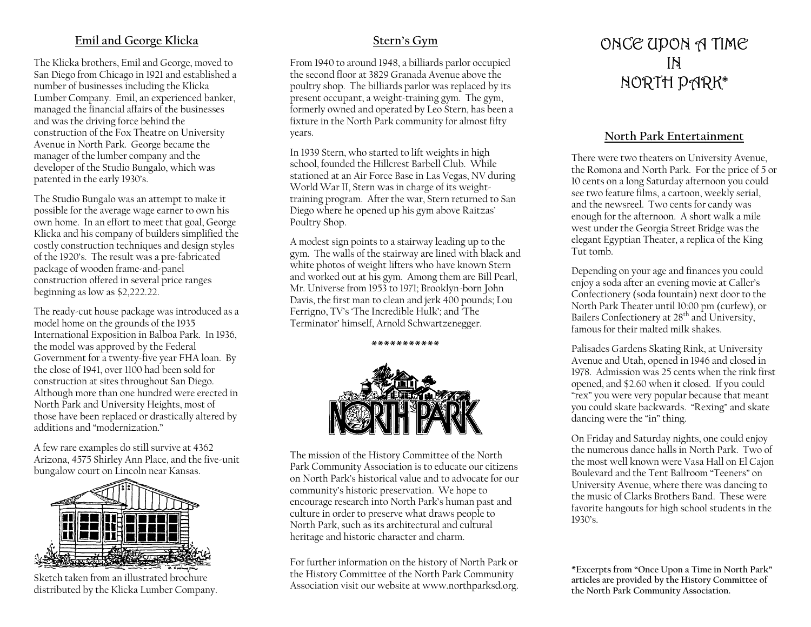# **Emil and George Klicka**

The Klicka brothers, Emil and George, moved to San Diego from Chicago in 1921 and established a number of businesses including the Klicka Lumber Company. Emil, an experienced banker, managed the financial affairs of the businesses and was the driving force behind the construction of the Fox Theatre on University Avenue in North Park. George became the manager of the lumber company and the developer of the Studio Bungalo, which was patented in the early 1930's.

The Studio Bungalo was an attempt to make it possible for the average wage earner to own his own home. In an effort to meet that goal, George Klicka and his company of builders simplified the costly construction techniques and design styles of the 1920's. The result was a pre-fabricated package of wooden frame-and-panel construction offered in several price ranges beginning as low as \$2,222.22.

The ready-cut house package was introduced as a model home on the grounds of the 1935 International Exposition in Balboa Park. In 1936, the model was approved by the Federal Government for a twenty-five year FHA loan. By the close of 1941, over 1100 had been sold for construction at sites throughout San Diego. Although more than one hundred were erected in North Park and University Heights, most of those have been replaced or drastically altered by additions and "modernization."

A few rare examples do still survive at 4362 Arizona, 4575 Shirley Ann Place, and the five-unit bungalow court on Lincoln near Kansas.



Sketch taken from an illustrated brochure distributed by the Klicka Lumber Company.

### **Stern's Gym**

From 1940 to around 1948, a billiards parlor occupied the second floor at 3829 Granada Avenue above the poultry shop. The billiards parlor was replaced by its present occupant, a weight-training gym. The gym, formerly owned and operated by Leo Stern, has been a fixture in the North Park community for almost fifty years.

In 1939 Stern, who started to lift weights in high school, founded the Hillcrest Barbell Club. While stationed at an Air Force Base in Las Vegas, NV during World War II, Stern was in charge of its weighttraining program. After the war, Stern returned to San Diego where he opened up his gym above Raitzas' Poultry Shop.

A modest sign points to a stairway leading up to the gym. The walls of the stairway are lined with black and white photos of weight lifters who have known Stern and worked out at his gym. Among them are Bill Pearl, Mr. Universe from 1953 to 1971; Brooklyn-born John Davis, the first man to clean and jerk 400 pounds; Lou Ferrigno, TV's 'The Incredible Hulk'; and 'The Terminator' himself, Arnold Schwartzenegger.



**\*\*\*\*\*\*\*\*\*\*\*** 

The mission of the History Committee of the North Park Community Association is to educate our citizens on North Park's historical value and to advocate for our community's historic preservation. We hope to encourage research into North Park's human past and culture in order to preserve what draws people to North Park, such as its architectural and cultural heritage and historic character and charm.

For further information on the history of North Park or the History Committee of the North Park Community Association visit our website at www.northparksd.org.

# ONCE UPON A TIME IN NORTH PARK\*

#### **North Park Entertainment**

There were two theaters on University Avenue, the Romona and North Park. For the price of 5 or 10 cents on a long Saturday afternoon you could see two feature films, a cartoon, weekly serial, and the newsreel. Two cents for candy was enough for the afternoon. A short walk a mile west under the Georgia Street Bridge was the elegant Egyptian Theater, a replica of the King Tut tomb.

Depending on your age and finances you could enjoy a soda after an evening movie at Caller's Confectionery (soda fountain) next door to the North Park Theater until 10:00 pm (curfew), or Bailers Confectionery at 28<sup>th</sup> and University, famous for their malted milk shakes.

Palisades Gardens Skating Rink, at University Avenue and Utah, opened in 1946 and closed in 1978. Admission was 25 cents when the rink first opened, and \$2.60 when it closed. If you could "rex" you were very popular because that meant you could skate backwards. "Rexing" and skate dancing were the "in" thing.

On Friday and Saturday nights, one could enjoy the numerous dance halls in North Park. Two of the most well known were Vasa Hall on El Cajon Boulevard and the Tent Ballroom "Teeners" on University Avenue, where there was dancing to the music of Clarks Brothers Band. These were favorite hangouts for high school students in the 1930's.

**\*Excerpts from "Once Upon a Time in North Park" articles are provided by the History Committee of the North Park Community Association.**